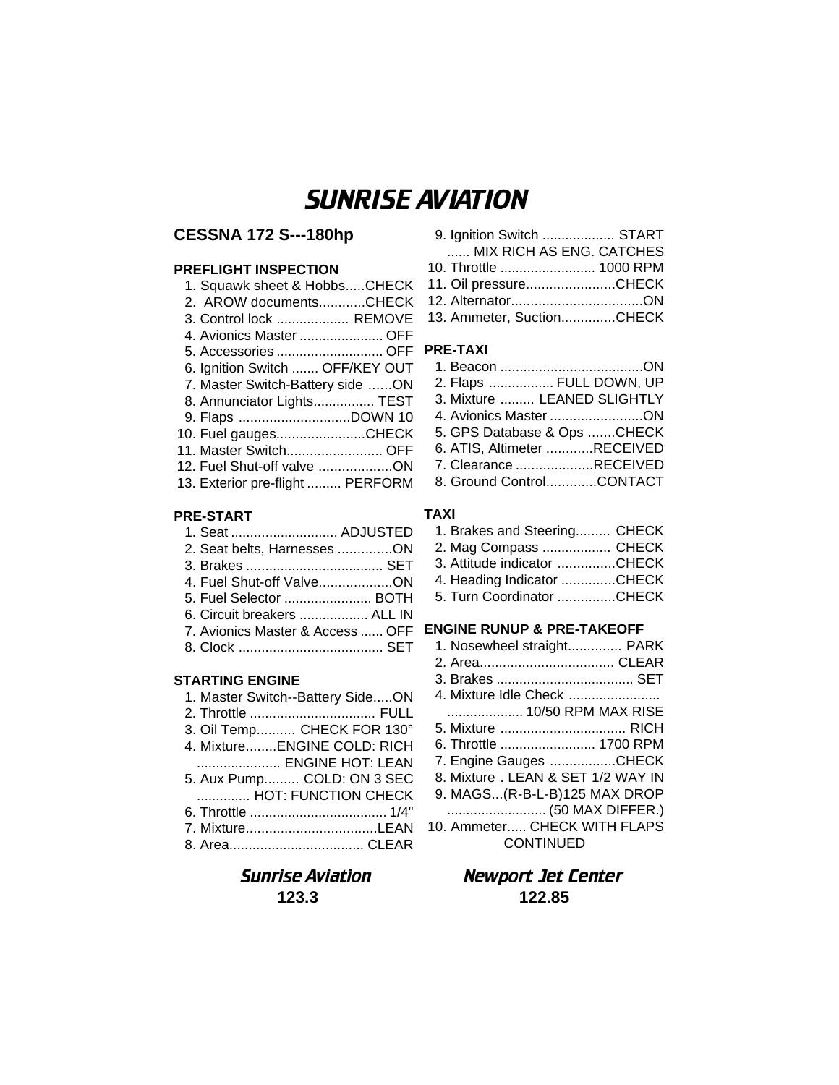# SUNRISE AVIATION

# **CESSNA 172 S---180hp**

## **PREFLIGHT INSPECTION**

| 1. Squawk sheet & HobbsCHECK     |
|----------------------------------|
| 2. AROW documentsCHECK           |
| 3. Control lock  REMOVE          |
| 4. Avionics Master  OFF          |
| 5. Accessories  OFF              |
| 6. Ignition Switch  OFF/KEY OUT  |
| 7. Master Switch-Battery side ON |
| 8. Annunciator Lights TEST       |
| 9. Flaps DOWN 10                 |
| 10. Fuel gaugesCHECK             |
| 11. Master Switch OFF            |
| 12. Fuel Shut-off valve ON       |
| 13. Exterior pre-flight  PERFORM |
|                                  |

## **PRE-START**

| 1. Seat  ADJUSTED                |  |
|----------------------------------|--|
| 2. Seat belts, Harnesses ON      |  |
|                                  |  |
| 4. Fuel Shut-off ValveON         |  |
| 5. Fuel Selector  BOTH           |  |
| 6. Circuit breakers  ALL IN      |  |
| 7. Avionics Master & Access  OFF |  |
|                                  |  |
|                                  |  |

#### **STARTING ENGINE**

| 1. Master Switch--Battery SideON |
|----------------------------------|
|                                  |
| 3. Oil Temp CHECK FOR 130°       |
| 4. MixtureENGINE COLD: RICH      |
| ENGINE HOT: LEAN                 |
| 5. Aux Pump COLD: ON 3 SEC       |
| HOT: FUNCTION CHECK              |
|                                  |
| 7. MixtureLEAN                   |
|                                  |

| 9. Ignition Switch  START |  |
|---------------------------|--|
| MIX RICH AS ENG. CATCHES  |  |
| 10. Throttle  1000 RPM    |  |
| 11. Oil pressureCHECK     |  |

12. Alternator..................................ON 13. Ammeter, Suction..............CHECK

# **PRE-TAXI**

| 2. Flaps  FULL DOWN, UP     |  |
|-----------------------------|--|
| 3. Mixture  LEANED SLIGHTLY |  |
| 4. Avionics Master ON       |  |
| 5. GPS Database & Ops CHECK |  |
| 6. ATIS, Altimeter RECEIVED |  |
| 7. Clearance RECEIVED       |  |
| 8. Ground ControlCONTACT    |  |

#### **TAXI**

| 1. Brakes and Steering CHECK |  |
|------------------------------|--|
| 2. Mag Compass  CHECK        |  |
| 3. Attitude indicator CHECK  |  |
| 4. Heading Indicator CHECK   |  |
| 5. Turn Coordinator CHECK    |  |

# **ENGINE RUNUP & PRE-TAKEOFF**

| 1. Nosewheel straight PARK        |  |
|-----------------------------------|--|
|                                   |  |
|                                   |  |
| 4. Mixture Idle Check             |  |
| 10/50 RPM MAX RISE                |  |
| 5. Mixture  RICH                  |  |
| 6. Throttle  1700 RPM             |  |
| 7. Engine Gauges CHECK            |  |
| 8. Mixture, LEAN & SET 1/2 WAY IN |  |
| 9. MAGS(R-B-L-B)125 MAX DROP      |  |
|                                   |  |
| 10. Ammeter CHECK WITH FLAPS      |  |
| <b>CONTINUED</b>                  |  |

# Sunrise Aviation Newport Jet Center **123.3 122.85**